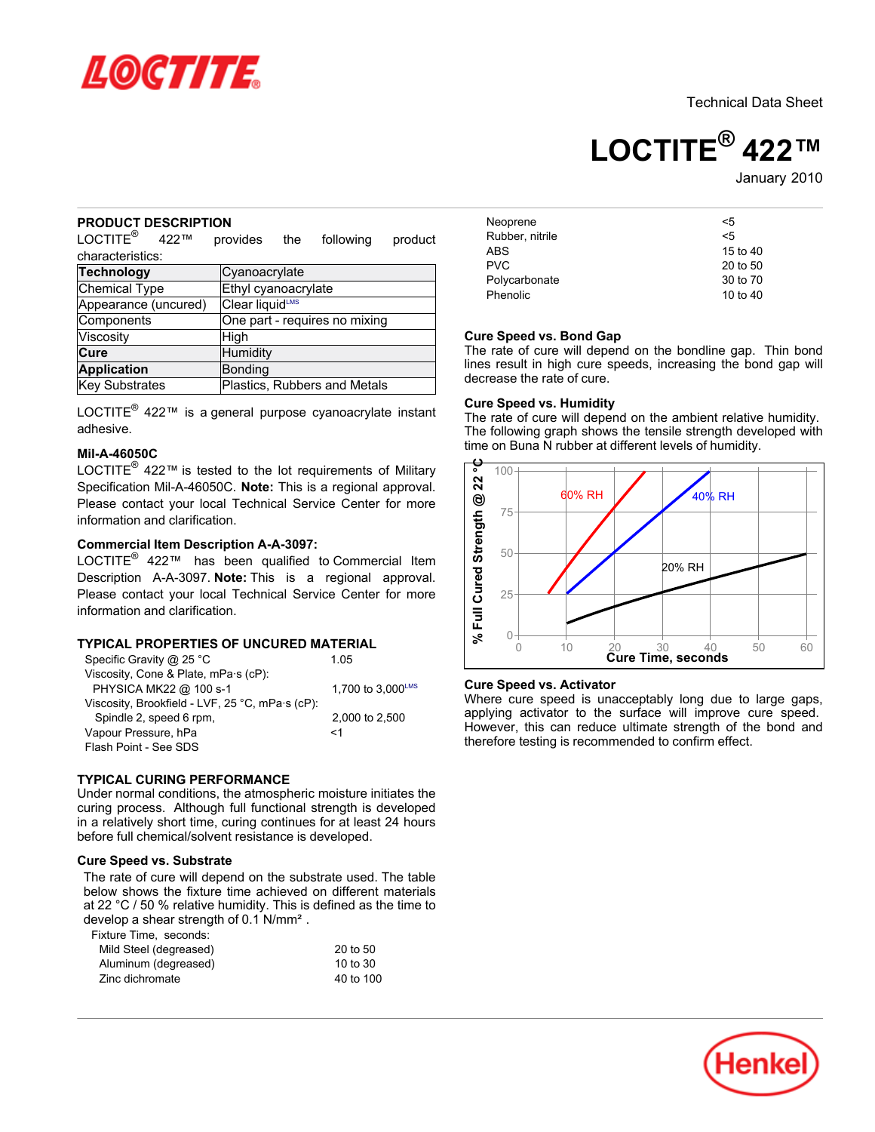

Technical Data Sheet

# **LOCTITE® 422™**

January 2010

# **PRODUCT DESCRIPTION**

 $\mathsf{LOCTITE}^\circledR$  422™ provides the following product characteristics:

| <b>Technology</b>    | Cyanoacrylate                 |  |  |
|----------------------|-------------------------------|--|--|
| Chemical Type        | Ethyl cyanoacrylate           |  |  |
| Appearance (uncured) | Clear liquidLMS               |  |  |
| Components           | One part - requires no mixing |  |  |
| Viscosity            | High                          |  |  |
| <b>Cure</b>          | Humidity                      |  |  |
| <b>Application</b>   | Bonding                       |  |  |
| Key Substrates       | Plastics, Rubbers and Metals  |  |  |

LOCTITE<sup>®</sup> 422™ is a general purpose cyanoacrylate instant adhesive.

## **Mil-A-46050C**

LOCTITE $^{\circledR}$  422™ is tested to the lot requirements of Military Specification Mil-A-46050C. **Note:** This is a regional approval. Please contact your local Technical Service Center for more information and clarification.

# **Commercial Item Description A-A-3097:**

LOCTITE® 422™ has been qualified to Commercial Item Description A-A-3097. **Note:** This is a regional approval. Please contact your local Technical Service Center for more information and clarification.

# **TYPICAL PROPERTIES OF UNCURED MATERIAL**

| Specific Gravity @ 25 °C                        | 1.05                          |
|-------------------------------------------------|-------------------------------|
| Viscosity, Cone & Plate, mPa·s (cP):            |                               |
| PHYSICA MK22 @ 100 s-1                          | 1.700 to $3.000^{\text{LMS}}$ |
| Viscosity, Brookfield - LVF, 25 °C, mPa·s (cP): |                               |
| Spindle 2, speed 6 rpm,                         | 2,000 to 2,500                |
| Vapour Pressure, hPa                            | <1                            |
| Flash Point - See SDS                           |                               |

# **TYPICAL CURING PERFORMANCE**

Under normal conditions, the atmospheric moisture initiates the curing process. Although full functional strength is developed in a relatively short time, curing continues for at least 24 hours before full chemical/solvent resistance is developed.

# **Cure Speed vs. Substrate**

The rate of cure will depend on the substrate used. The table below shows the fixture time achieved on different materials at 22 °C / 50 % relative humidity. This is defined as the time to develop a shear strength of 0.1 N/mm².

Fixture Time, seconds:

| Mild Steel (degreased) | 20 to 50  |
|------------------------|-----------|
| Aluminum (degreased)   | 10 to 30  |
| Zinc dichromate        | 40 to 100 |

| Neoprene        | <5         |
|-----------------|------------|
| Rubber, nitrile | <5         |
| ABS             | 15 to 40   |
| <b>PVC</b>      | 20 to 50   |
| Polycarbonate   | 30 to 70   |
| Phenolic        | 10 to $40$ |

## **Cure Speed vs. Bond Gap**

The rate of cure will depend on the bondline gap. Thin bond lines result in high cure speeds, increasing the bond gap will decrease the rate of cure.

# **Cure Speed vs. Humidity**

The rate of cure will depend on the ambient relative humidity. The following graph shows the tensile strength developed with time on Buna N rubber at different levels of humidity.



#### **Cure Speed vs. Activator**

Where cure speed is unacceptably long due to large gaps, applying activator to the surface will improve cure speed. However, this can reduce ultimate strength of the bond and therefore testing is recommended to confirm effect.

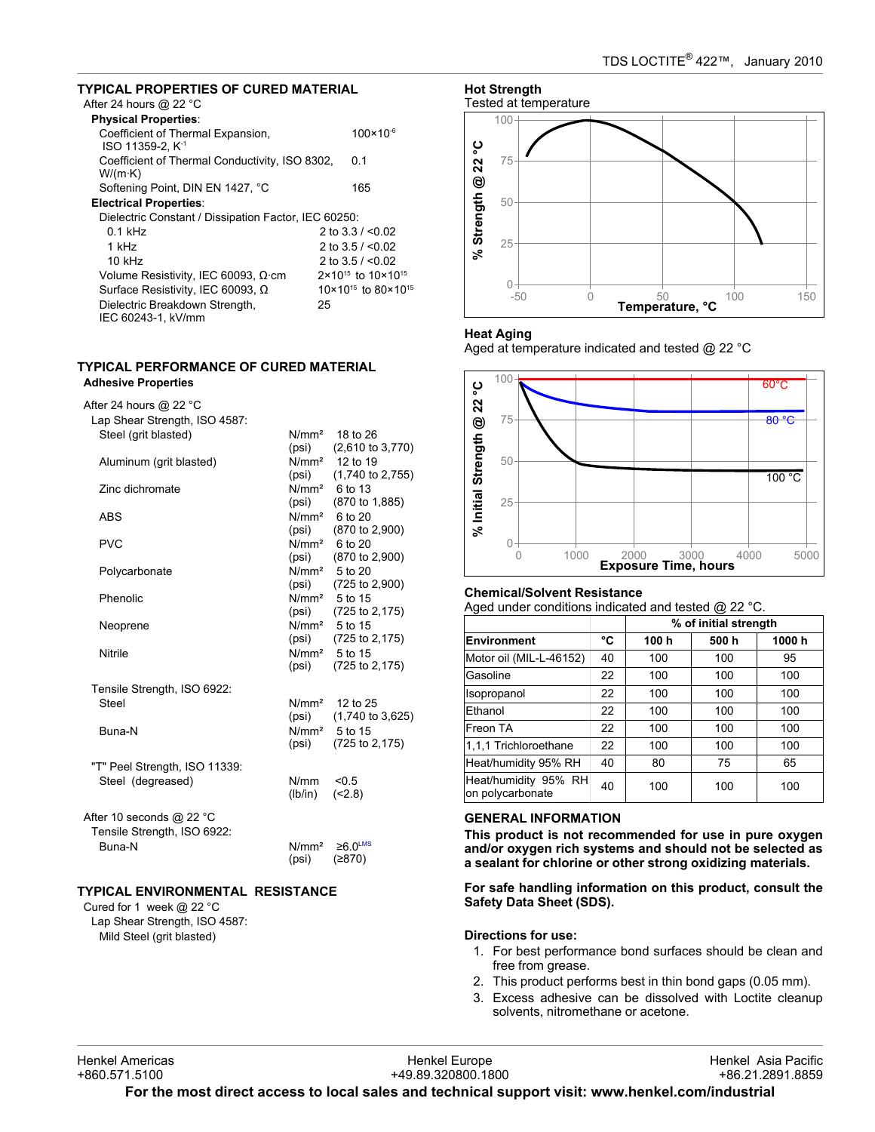# **TYPICAL PROPERTIES OF CURED MATERIAL**

| <b>TYPICAL PROPERTIES OF CURED MATERIAL</b>                       |    |                                            |
|-------------------------------------------------------------------|----|--------------------------------------------|
| After 24 hours @ 22 $^{\circ}$ C                                  |    |                                            |
| <b>Physical Properties:</b>                                       |    |                                            |
| Coefficient of Thermal Expansion,<br>ISO 11359-2. K <sup>-1</sup> |    | $100 \times 10^{-6}$                       |
| Coefficient of Thermal Conductivity, ISO 8302,<br>W/(m·K)         |    | 0.1                                        |
| Softening Point, DIN EN 1427, °C                                  |    | 165                                        |
| <b>Electrical Properties:</b>                                     |    |                                            |
| Dielectric Constant / Dissipation Factor, IEC 60250:              |    |                                            |
| $0.1$ kHz                                                         |    | 2 to $3.3 / 0.02$                          |
| 1 kHz                                                             |    | 2 to $3.5 / < 0.02$                        |
| $10$ kHz                                                          |    | 2 to $3.5 / < 0.02$                        |
| Volume Resistivity, IEC 60093, $\Omega$ ·cm                       |    | $2 \times 10^{15}$ to $10 \times 10^{15}$  |
| Surface Resistivity, IEC 60093, Ω                                 |    | $10 \times 10^{15}$ to 80 $\times 10^{15}$ |
| Dielectric Breakdown Strength,<br>IEC 60243-1, kV/mm              | 25 |                                            |

## **TYPICAL PERFORMANCE OF CURED MATERIAL Adhesive Properties**

After 24 hours @ 22 °C

| $\frac{1}{10}$ CH $\frac{1}{10}$ UU is $\frac{1}{10}$ |                   |                             |
|-------------------------------------------------------|-------------------|-----------------------------|
| Lap Shear Strength, ISO 4587:                         |                   |                             |
| Steel (grit blasted)                                  | N/mm <sup>2</sup> | 18 to 26                    |
|                                                       | (psi)             | $(2,610 \text{ to } 3,770)$ |
| Aluminum (grit blasted)                               |                   | $N/mm2$ 12 to 19            |
|                                                       | (psi)             | $(1,740 \text{ to } 2,755)$ |
| Zinc dichromate                                       |                   | $N/mm2$ 6 to 13             |
|                                                       | (psi)             | (870 to 1,885)              |
| <b>ABS</b>                                            | N/mm <sup>2</sup> | 6 to 20                     |
|                                                       | (psi)             | (870 to 2,900)              |
| PVC                                                   | N/mm <sup>2</sup> | 6 to 20                     |
|                                                       | (psi)             | (870 to 2,900)              |
| Polycarbonate                                         | N/mm <sup>2</sup> | 5 to 20                     |
|                                                       | (psi)             | (725 to 2,900)              |
| Phenolic                                              |                   | N/mm <sup>2</sup> 5 to 15   |
|                                                       | (psi)             | (725 to 2,175)              |
| Neoprene                                              |                   | N/mm <sup>2</sup> 5 to 15   |
|                                                       | (psi)             | (725 to 2,175)              |
| Nitrile                                               |                   | N/mm <sup>2</sup> 5 to 15   |
|                                                       | (psi)             | (725 to 2,175)              |
|                                                       |                   |                             |
| Tensile Strength, ISO 6922:                           |                   |                             |
| Steel                                                 | N/mm <sup>2</sup> | 12 to 25                    |
|                                                       | (psi)             | $(1,740 \text{ to } 3,625)$ |
| Buna-N                                                |                   | N/mm <sup>2</sup> 5 to 15   |
|                                                       | (psi)             | (725 to 2,175)              |
|                                                       |                   |                             |
| "T" Peel Strength, ISO 11339:                         |                   |                             |
| Steel (degreased)                                     | N/mm              | < 0.5                       |
|                                                       | (lb/in)           | (2.8)                       |
|                                                       |                   |                             |
| After 10 seconds @ 22 °C                              |                   |                             |
| Tensile Strength, ISO 6922:                           |                   |                             |
| <b>Buna-N</b>                                         | N/mm <sup>2</sup> | $≥6.0$ <sup>LMS</sup>       |
|                                                       | (psi)             | (2870)                      |

# **TYPICAL ENVIRONMENTAL RESISTANCE**

Cured for 1 week @ 22 °C Lap Shear Strength, ISO 4587: Mild Steel (grit blasted)



# **Heat Aging**

Aged at temperature indicated and tested @ 22 °C



# **Chemical/Solvent Resistance**

Aged under conditions indicated and tested @ 22 °C.

|                                          |    | % of initial strength |      |       |
|------------------------------------------|----|-----------------------|------|-------|
| <b>Environment</b>                       | °C | 100 h                 | 500h | 1000h |
| Motor oil (MIL-L-46152)                  | 40 | 100                   | 100  | 95    |
| Gasoline                                 | 22 | 100                   | 100  | 100   |
| Isopropanol                              | 22 | 100                   | 100  | 100   |
| Ethanol                                  | 22 | 100                   | 100  | 100   |
| Freon TA                                 | 22 | 100                   | 100  | 100   |
| 1.1.1 Trichloroethane                    | 22 | 100                   | 100  | 100   |
| Heat/humidity 95% RH                     | 40 | 80                    | 75   | 65    |
| Heat/humidity 95% RH<br>on polycarbonate | 40 | 100                   | 100  | 100   |

# **GENERAL INFORMATION**

**This product is not recommended for use in pure oxygen and/or oxygen rich systems and should not be selected as a sealant for chlorine or other strong oxidizing materials.**

**For safe handling information on this product, consult the Safety Data Sheet (SDS).**

# **Directions for use:**

- 1. For best performance bond surfaces should be clean and free from grease.
- 2. This product performs best in thin bond gaps (0.05 mm).
- 3. Excess adhesive can be dissolved with Loctite cleanup solvents, nitromethane or acetone.